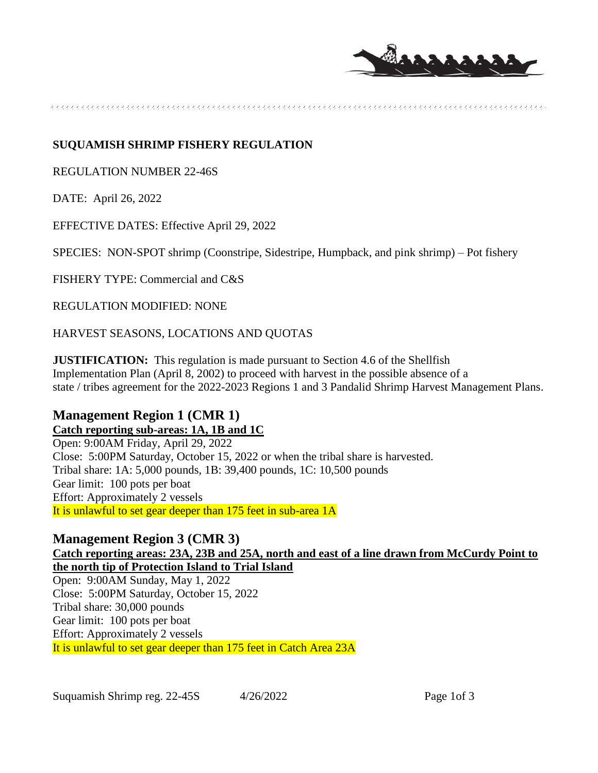

### **SUQUAMISH SHRIMP FISHERY REGULATION**

REGULATION NUMBER 22-46S

DATE: April 26, 2022

EFFECTIVE DATES: Effective April 29, 2022

SPECIES: NON-SPOT shrimp (Coonstripe, Sidestripe, Humpback, and pink shrimp) – Pot fishery

FISHERY TYPE: Commercial and C&S

REGULATION MODIFIED: NONE

HARVEST SEASONS, LOCATIONS AND QUOTAS

**JUSTIFICATION:** This regulation is made pursuant to Section 4.6 of the Shellfish Implementation Plan (April 8, 2002) to proceed with harvest in the possible absence of a state / tribes agreement for the 2022-2023 Regions 1 and 3 Pandalid Shrimp Harvest Management Plans.

# **Management Region 1 (CMR 1) Catch reporting sub-areas: 1A, 1B and 1C**

Open: 9:00AM Friday, April 29, 2022 Close: 5:00PM Saturday, October 15, 2022 or when the tribal share is harvested. Tribal share: 1A: 5,000 pounds, 1B: 39,400 pounds, 1C: 10,500 pounds Gear limit: 100 pots per boat Effort: Approximately 2 vessels It is unlawful to set gear deeper than 175 feet in sub-area 1A

# **Management Region 3 (CMR 3)**

**Catch reporting areas: 23A, 23B and 25A, north and east of a line drawn from McCurdy Point to the north tip of Protection Island to Trial Island**

Open: 9:00AM Sunday, May 1, 2022 Close: 5:00PM Saturday, October 15, 2022 Tribal share: 30,000 pounds Gear limit: 100 pots per boat Effort: Approximately 2 vessels It is unlawful to set gear deeper than 175 feet in Catch Area 23A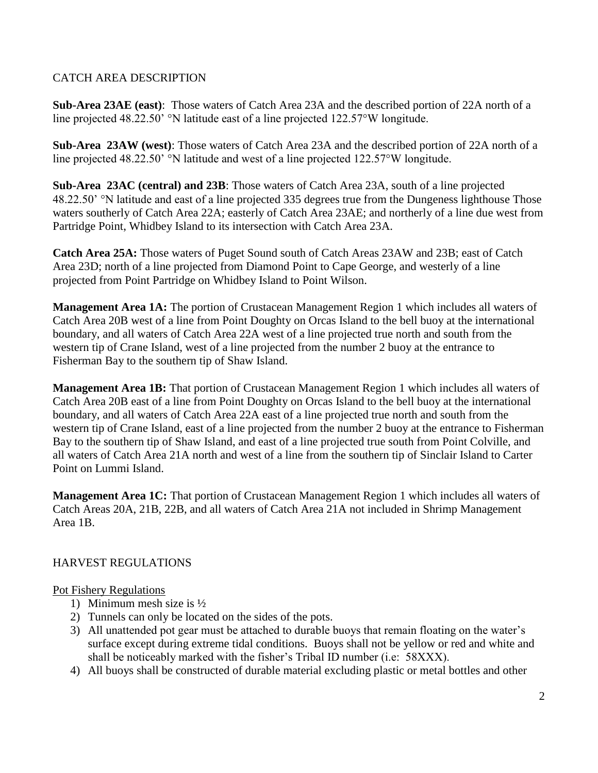# CATCH AREA DESCRIPTION

**Sub-Area 23AE (east)**: Those waters of Catch Area 23A and the described portion of 22A north of a line projected 48.22.50' °N latitude east of a line projected 122.57°W longitude.

**Sub-Area 23AW (west)**: Those waters of Catch Area 23A and the described portion of 22A north of a line projected 48.22.50' °N latitude and west of a line projected 122.57°W longitude.

**Sub-Area 23AC (central) and 23B**: Those waters of Catch Area 23A, south of a line projected 48.22.50' °N latitude and east of a line projected 335 degrees true from the Dungeness lighthouse Those waters southerly of Catch Area 22A; easterly of Catch Area 23AE; and northerly of a line due west from Partridge Point, Whidbey Island to its intersection with Catch Area 23A.

**Catch Area 25A:** Those waters of Puget Sound south of Catch Areas 23AW and 23B; east of Catch Area 23D; north of a line projected from Diamond Point to Cape George, and westerly of a line projected from Point Partridge on Whidbey Island to Point Wilson.

**Management Area 1A:** The portion of Crustacean Management Region 1 which includes all waters of Catch Area 20B west of a line from Point Doughty on Orcas Island to the bell buoy at the international boundary, and all waters of Catch Area 22A west of a line projected true north and south from the western tip of Crane Island, west of a line projected from the number 2 buoy at the entrance to Fisherman Bay to the southern tip of Shaw Island.

**Management Area 1B:** That portion of Crustacean Management Region 1 which includes all waters of Catch Area 20B east of a line from Point Doughty on Orcas Island to the bell buoy at the international boundary, and all waters of Catch Area 22A east of a line projected true north and south from the western tip of Crane Island, east of a line projected from the number 2 buoy at the entrance to Fisherman Bay to the southern tip of Shaw Island, and east of a line projected true south from Point Colville, and all waters of Catch Area 21A north and west of a line from the southern tip of Sinclair Island to Carter Point on Lummi Island.

**Management Area 1C:** That portion of Crustacean Management Region 1 which includes all waters of Catch Areas 20A, 21B, 22B, and all waters of Catch Area 21A not included in Shrimp Management Area 1B.

### HARVEST REGULATIONS

### Pot Fishery Regulations

- 1) Minimum mesh size is ½
- 2) Tunnels can only be located on the sides of the pots.
- 3) All unattended pot gear must be attached to durable buoys that remain floating on the water's surface except during extreme tidal conditions. Buoys shall not be yellow or red and white and shall be noticeably marked with the fisher's Tribal ID number (i.e: 58XXX).
- 4) All buoys shall be constructed of durable material excluding plastic or metal bottles and other